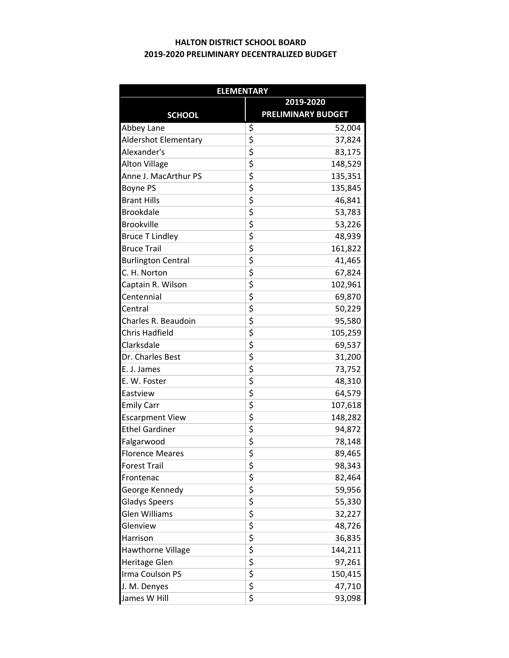## 2019-2020 PRELIMINARY DECENTRALIZED BUDGET HALTON DISTRICT SCHOOL BOARD

| <b>ELEMENTARY</b>           |                                                 |                           |  |
|-----------------------------|-------------------------------------------------|---------------------------|--|
|                             | 2019-2020                                       |                           |  |
| <b>SCHOOL</b>               |                                                 | <b>PRELIMINARY BUDGET</b> |  |
| Abbey Lane                  | \$                                              | 52,004                    |  |
| <b>Aldershot Elementary</b> | \$                                              | 37,824                    |  |
| Alexander's                 | $\overline{\xi}$                                | 83,175                    |  |
| <b>Alton Village</b>        | $\overline{\boldsymbol{\zeta}}$                 | 148,529                   |  |
| Anne J. MacArthur PS        | \$                                              | 135,351                   |  |
| <b>Boyne PS</b>             | \$                                              | 135,845                   |  |
| <b>Brant Hills</b>          | \$                                              | 46,841                    |  |
| <b>Brookdale</b>            | \$                                              | 53,783                    |  |
| <b>Brookville</b>           | $\overline{\boldsymbol{\varsigma}}$             | 53,226                    |  |
| <b>Bruce T Lindley</b>      | \$                                              | 48,939                    |  |
| <b>Bruce Trail</b>          | \$                                              | 161,822                   |  |
| <b>Burlington Central</b>   | \$                                              | 41,465                    |  |
| C. H. Norton                | \$                                              | 67,824                    |  |
| Captain R. Wilson           |                                                 | 102,961                   |  |
| Centennial                  | $\frac{1}{2}$                                   | 69,870                    |  |
| Central                     | \$                                              | 50,229                    |  |
| Charles R. Beaudoin         | $\overline{\boldsymbol{\zeta}}$                 | 95,580                    |  |
| Chris Hadfield              | \$                                              | 105,259                   |  |
| Clarksdale                  | \$                                              | 69,537                    |  |
| Dr. Charles Best            | \$                                              | 31,200                    |  |
| E. J. James                 | \$                                              | 73,752                    |  |
| E. W. Foster                | $\overline{\xi}$                                | 48,310                    |  |
| Eastview                    | \$                                              | 64,579                    |  |
| <b>Emily Carr</b>           | \$                                              | 107,618                   |  |
| <b>Escarpment View</b>      | \$                                              | 148,282                   |  |
| <b>Ethel Gardiner</b>       | \$                                              | 94,872                    |  |
| Falgarwood                  | \$                                              | 78,148                    |  |
| <b>Florence Meares</b>      | $\overline{\boldsymbol{\varsigma}}$             | 89,465                    |  |
| <b>Forest Trail</b>         | \$                                              | 98,343                    |  |
| Frontenac                   | \$                                              | 82,464                    |  |
| George Kennedy              | \$                                              | 59,956                    |  |
| <b>Gladys Speers</b>        | \$                                              | 55,330                    |  |
| Glen Williams               |                                                 | 32,227                    |  |
| Glenview                    |                                                 | 48,726                    |  |
| Harrison                    | $\frac{1}{2}$<br>$\frac{1}{2}$<br>$\frac{1}{2}$ | 36,835                    |  |
| Hawthorne Village           |                                                 | 144,211                   |  |
| Heritage Glen               | \$                                              | 97,261                    |  |
| Irma Coulson PS             | \$                                              | 150,415                   |  |
| J. M. Denyes                |                                                 | 47,710                    |  |
| James W Hill                | $\frac{5}{5}$                                   | 93,098                    |  |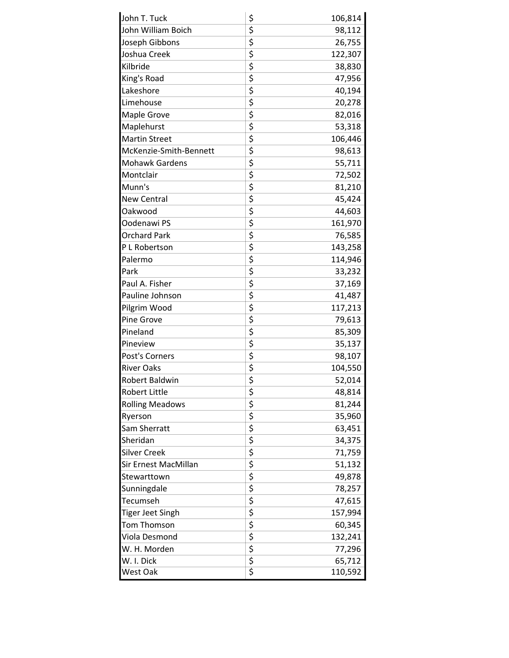| John T. Tuck           | \$                                  | 106,814 |
|------------------------|-------------------------------------|---------|
| John William Boich     | \$                                  | 98,112  |
| Joseph Gibbons         | \$                                  | 26,755  |
| Joshua Creek           | \$                                  | 122,307 |
| Kilbride               | \$                                  | 38,830  |
| King's Road            | \$                                  | 47,956  |
| Lakeshore              | \$                                  | 40,194  |
| Limehouse              | \$                                  | 20,278  |
| Maple Grove            | \$                                  | 82,016  |
| Maplehurst             | \$                                  | 53,318  |
| <b>Martin Street</b>   | \$                                  | 106,446 |
| McKenzie-Smith-Bennett | \$                                  | 98,613  |
| <b>Mohawk Gardens</b>  | \$                                  | 55,711  |
| Montclair              | \$                                  | 72,502  |
| Munn's                 | \$                                  | 81,210  |
| <b>New Central</b>     | \$                                  | 45,424  |
| Oakwood                | \$                                  | 44,603  |
| Oodenawi PS            | \$                                  | 161,970 |
| <b>Orchard Park</b>    | \$                                  | 76,585  |
| P L Robertson          | \$                                  | 143,258 |
| Palermo                | \$                                  | 114,946 |
| Park                   | \$                                  | 33,232  |
| Paul A. Fisher         | \$                                  | 37,169  |
| Pauline Johnson        | \$                                  | 41,487  |
| Pilgrim Wood           | \$                                  | 117,213 |
| Pine Grove             | \$                                  | 79,613  |
| Pineland               | \$                                  | 85,309  |
| Pineview               | \$                                  | 35,137  |
| Post's Corners         | \$                                  | 98,107  |
| <b>River Oaks</b>      | \$                                  | 104,550 |
| <b>Robert Baldwin</b>  | \$                                  | 52,014  |
| <b>Robert Little</b>   | \$<br>\$                            | 48,814  |
| <b>Rolling Meadows</b> |                                     | 81,244  |
| Ryerson                | \$                                  | 35,960  |
| Sam Sherratt           | \$                                  | 63,451  |
| Sheridan               | \$                                  | 34,375  |
| <b>Silver Creek</b>    | $\frac{5}{5}$                       | 71,759  |
| Sir Ernest MacMillan   |                                     | 51,132  |
| Stewarttown            |                                     | 49,878  |
| Sunningdale            | $\frac{1}{2}$                       | 78,257  |
| Tecumseh               |                                     | 47,615  |
| Tiger Jeet Singh       | \$                                  | 157,994 |
| Tom Thomson            | \$                                  | 60,345  |
| Viola Desmond          | $\frac{1}{2}$                       | 132,241 |
| W. H. Morden           |                                     | 77,296  |
| W. I. Dick             |                                     | 65,712  |
| West Oak               | $\overline{\boldsymbol{\varsigma}}$ | 110,592 |